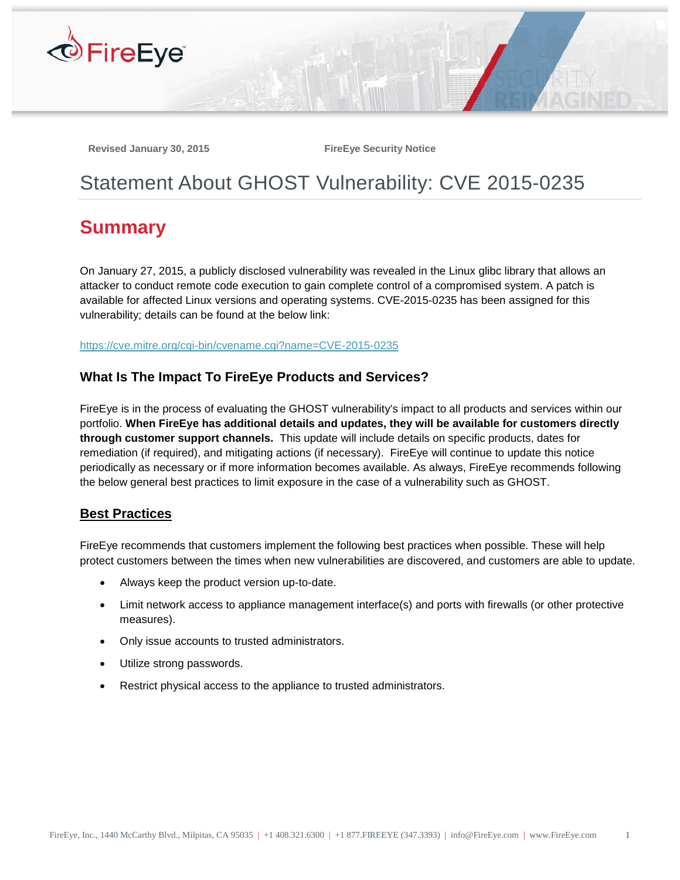

Revised January 30, 2015 **FireEye Security Notice** 

# Statement About GHOST Vulnerability: CVE 2015-0235

# **Summary**

On January 27, 2015, a publicly disclosed vulnerability was revealed in the Linux glibc library that allows an attacker to conduct remote code execution to gain complete control of a compromised system. A patch is available for affected Linux versions and operating systems. CVE-2015-0235 has been assigned for this vulnerability; details can be found at the below link:

<https://cve.mitre.org/cgi-bin/cvename.cgi?name=CVE-2015-0235>

## **What Is The Impact To FireEye Products and Services?**

FireEye is in the process of evaluating the GHOST vulnerability's impact to all products and services within our portfolio. **When FireEye has additional details and updates, they will be available for customers directly through customer support channels.** This update will include details on specific products, dates for remediation (if required), and mitigating actions (if necessary). FireEye will continue to update this notice periodically as necessary or if more information becomes available. As always, FireEye recommends following the below general best practices to limit exposure in the case of a vulnerability such as GHOST.

#### **Best Practices**

FireEye recommends that customers implement the following best practices when possible. These will help protect customers between the times when new vulnerabilities are discovered, and customers are able to update.

- Always keep the product version up-to-date.
- Limit network access to appliance management interface(s) and ports with firewalls (or other protective measures).
- Only issue accounts to trusted administrators.
- Utilize strong passwords.
- Restrict physical access to the appliance to trusted administrators.